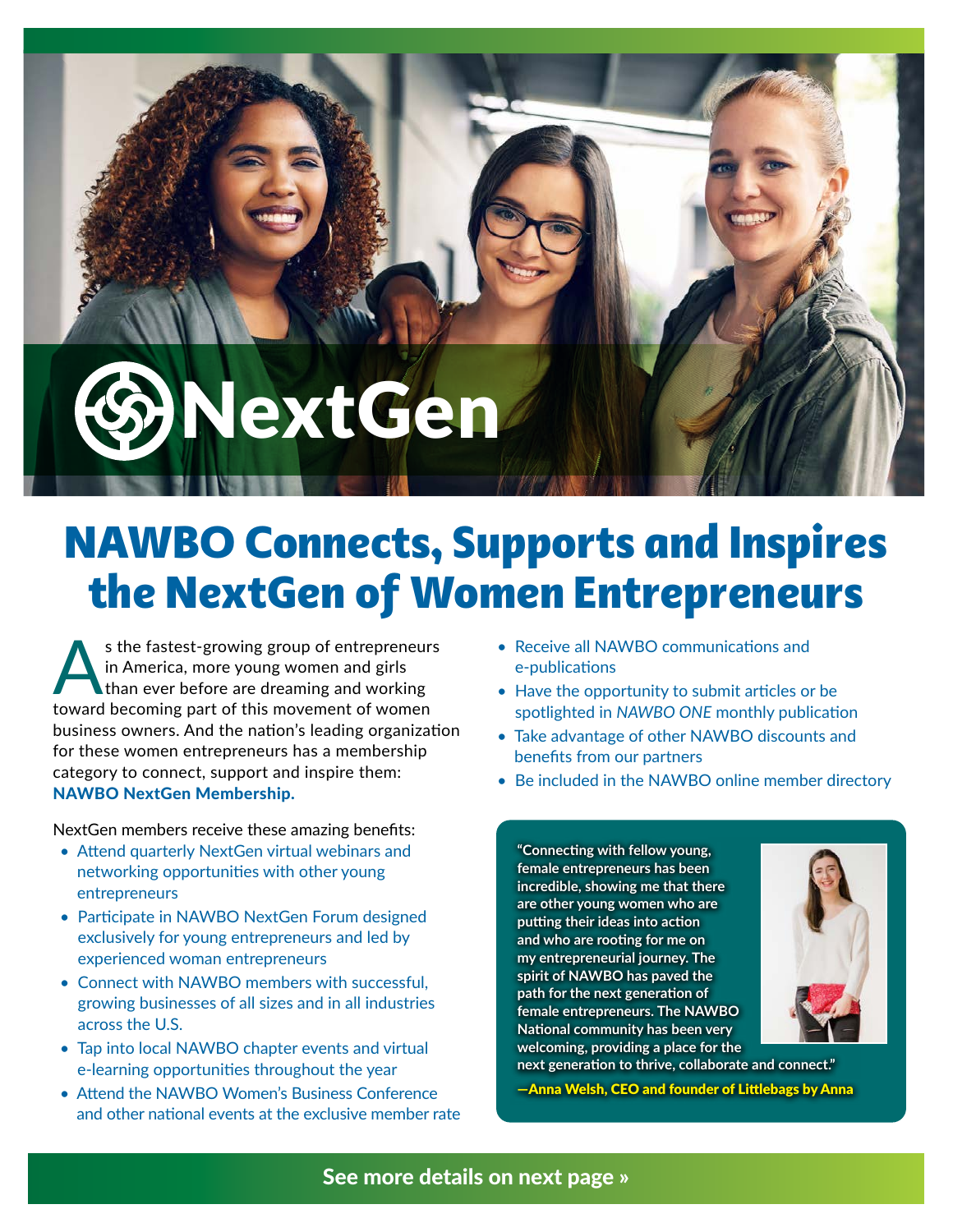

## NAWBO Connects, Supports and Inspires the NextGen of Women Entrepreneurs

s the fastest-growing group of entrepreneurs in America, more young women and girls than ever before are dreaming and working toward becoming part of this movement of women business owners. And the nation's leading organization for these women entrepreneurs has a membership category to connect, support and inspire them: NAWBO NextGen Membership.

NextGen members receive these amazing benefits:

- Attend quarterly NextGen virtual webinars and networking opportunities with other young entrepreneurs
- Participate in NAWBO NextGen Forum designed exclusively for young entrepreneurs and led by experienced woman entrepreneurs
- Connect with NAWBO members with successful, growing businesses of all sizes and in all industries across the U.S.
- Tap into local NAWBO chapter events and virtual e-learning opportunities throughout the year
- Attend the NAWBO Women's Business Conference and other national events at the exclusive member rate
- Receive all NAWBO communications and e-publications
- Have the opportunity to submit articles or be spotlighted in *NAWBO ONE* monthly publication
- Take advantage of other NAWBO discounts and benefits from our partners
- Be included in the NAWBO online member directory

**"Connecting with fellow young, female entrepreneurs has been incredible, showing me that there are other young women who are putting their ideas into action and who are rooting for me on my entrepreneurial journey. The spirit of NAWBO has paved the path for the next generation of female entrepreneurs. The NAWBO National community has been very welcoming, providing a place for the** 



**next generation to thrive, collaborate and connect."** 

—Anna Welsh, CEO and founder of Littlebags by Anna

## See more details on next page »